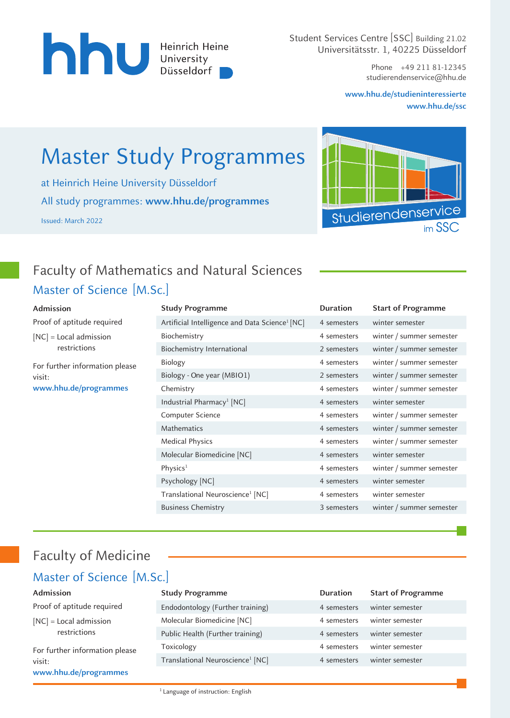

Student Services Centre [SSC] Building 21.02 Universitätsstr. 1, 40225 Düsseldorf

> Phone +49 211 81-12345 studierendenservice@hhu.de

**www.hhu.de/studieninteressierte www.hhu.de/ssc**

# Master Study Programmes

at Heinrich Heine University Düsseldorf All study programmes: **www.hhu.de/programmes** Issued: March 2022



## Master of Science [M.Sc.] Faculty of Mathematics and Natural Sciences

#### **Admission**

Proof of aptitude required

[NC] = Local admission restrictions

For further information please visit: **www.hhu.de/programmes**

**Study Programme Duration Start of Programme** Artificial Intelligence and Data Science<sup>1</sup> [NC] 4 semesters winter semester Biochemistry 4 semesters winter / summer semester Biochemistry International 2 semesters winter / summer semester Biology 4 semesters winter / summer semester Biology - One year (MBIO1) 2 semesters winter / summer semester Chemistry 4 semesters winter / summer semester Industrial Pharmacy<sup>1</sup> [NC] 4 semesters winter semester Computer Science 4 semesters winter / summer semester Mathematics 4 semesters winter / summer semester Medical Physics **A** semesters winter / summer semester Molecular Biomedicine [NC] 4 semesters winter semester Physics<sup>1</sup> emergency of the semesters winter / summer semester Psychology [NC] 4 semesters winter semester Translational Neuroscience<sup>1</sup> [NC] 4 semesters winter semester Business Chemistry 3 semesters winter / summer semester

## Faculty of Medicine

#### Master of Science [M.Sc.]

| Admission                                | <b>Study Programme</b>                       | <b>Duration</b> | <b>Start of Programme</b> |
|------------------------------------------|----------------------------------------------|-----------------|---------------------------|
| Proof of aptitude required               | Endodontology (Further training)             | 4 semesters     | winter semester           |
| $[NC] = Local$ admission<br>restrictions | Molecular Biomedicine [NC]                   | 4 semesters     | winter semester           |
|                                          | Public Health (Further training)             | 4 semesters     | winter semester           |
| For further information please<br>visit: | Toxicology                                   | 4 semesters     | winter semester           |
|                                          | Translational Neuroscience <sup>1</sup> [NC] | 4 semesters     | winter semester           |
| www.hhu.de/programmes                    |                                              |                 |                           |

<sup>1</sup> Language of instruction: English